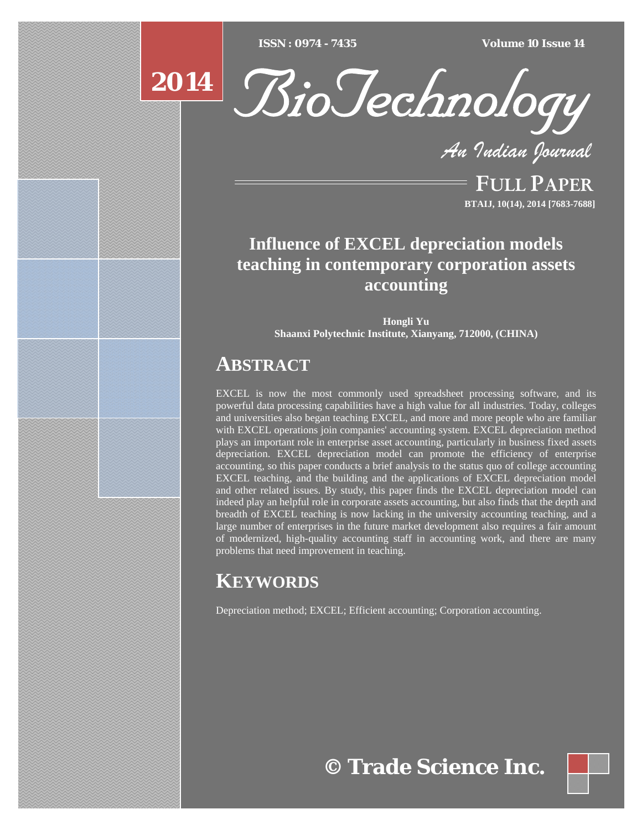$ISSN : 0974 - 7435$ 

*ISSN : 0974 - 7435 Volume 10 Issue 14*



*An Indian Journal*

FULL PAPER **BTAIJ, 10(14), 2014 [7683-7688]**

# **Influence of EXCEL depreciation models teaching in contemporary corporation assets accounting**

**Hongli Yu Shaanxi Polytechnic Institute, Xianyang, 712000, (CHINA)** 

# **ABSTRACT**

EXCEL is now the most commonly used spreadsheet processing software, and its powerful data processing capabilities have a high value for all industries. Today, colleges and universities also began teaching EXCEL, and more and more people who are familiar with EXCEL operations join companies' accounting system. EXCEL depreciation method plays an important role in enterprise asset accounting, particularly in business fixed assets depreciation. EXCEL depreciation model can promote the efficiency of enterprise accounting, so this paper conducts a brief analysis to the status quo of college accounting EXCEL teaching, and the building and the applications of EXCEL depreciation model and other related issues. By study, this paper finds the EXCEL depreciation model can indeed play an helpful role in corporate assets accounting, but also finds that the depth and breadth of EXCEL teaching is now lacking in the university accounting teaching, and a large number of enterprises in the future market development also requires a fair amount of modernized, high-quality accounting staff in accounting work, and there are many problems that need improvement in teaching.

# **KEYWORDS**

Depreciation method; EXCEL; Efficient accounting; Corporation accounting.

**© Trade Science Inc.**

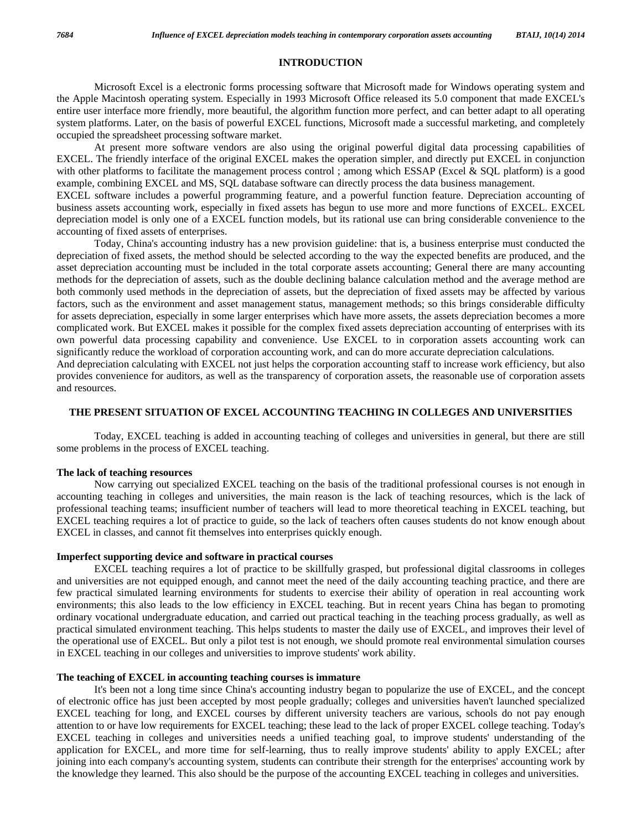### **INTRODUCTION**

 Microsoft Excel is a electronic forms processing software that Microsoft made for Windows operating system and the Apple Macintosh operating system. Especially in 1993 Microsoft Office released its 5.0 component that made EXCEL's entire user interface more friendly, more beautiful, the algorithm function more perfect, and can better adapt to all operating system platforms. Later, on the basis of powerful EXCEL functions, Microsoft made a successful marketing, and completely occupied the spreadsheet processing software market.

 At present more software vendors are also using the original powerful digital data processing capabilities of EXCEL. The friendly interface of the original EXCEL makes the operation simpler, and directly put EXCEL in conjunction with other platforms to facilitate the management process control ; among which ESSAP (Excel & SQL platform) is a good example, combining EXCEL and MS, SQL database software can directly process the data business management. EXCEL software includes a powerful programming feature, and a powerful function feature. Depreciation accounting of business assets accounting work, especially in fixed assets has begun to use more and more functions of EXCEL. EXCEL depreciation model is only one of a EXCEL function models, but its rational use can bring considerable convenience to the accounting of fixed assets of enterprises.

 Today, China's accounting industry has a new provision guideline: that is, a business enterprise must conducted the depreciation of fixed assets, the method should be selected according to the way the expected benefits are produced, and the asset depreciation accounting must be included in the total corporate assets accounting; General there are many accounting methods for the depreciation of assets, such as the double declining balance calculation method and the average method are both commonly used methods in the depreciation of assets, but the depreciation of fixed assets may be affected by various factors, such as the environment and asset management status, management methods; so this brings considerable difficulty for assets depreciation, especially in some larger enterprises which have more assets, the assets depreciation becomes a more complicated work. But EXCEL makes it possible for the complex fixed assets depreciation accounting of enterprises with its own powerful data processing capability and convenience. Use EXCEL to in corporation assets accounting work can significantly reduce the workload of corporation accounting work, and can do more accurate depreciation calculations. And depreciation calculating with EXCEL not just helps the corporation accounting staff to increase work efficiency, but also

provides convenience for auditors, as well as the transparency of corporation assets, the reasonable use of corporation assets and resources.

## **THE PRESENT SITUATION OF EXCEL ACCOUNTING TEACHING IN COLLEGES AND UNIVERSITIES**

 Today, EXCEL teaching is added in accounting teaching of colleges and universities in general, but there are still some problems in the process of EXCEL teaching.

#### **The lack of teaching resources**

 Now carrying out specialized EXCEL teaching on the basis of the traditional professional courses is not enough in accounting teaching in colleges and universities, the main reason is the lack of teaching resources, which is the lack of professional teaching teams; insufficient number of teachers will lead to more theoretical teaching in EXCEL teaching, but EXCEL teaching requires a lot of practice to guide, so the lack of teachers often causes students do not know enough about EXCEL in classes, and cannot fit themselves into enterprises quickly enough.

### **Imperfect supporting device and software in practical courses**

 EXCEL teaching requires a lot of practice to be skillfully grasped, but professional digital classrooms in colleges and universities are not equipped enough, and cannot meet the need of the daily accounting teaching practice, and there are few practical simulated learning environments for students to exercise their ability of operation in real accounting work environments; this also leads to the low efficiency in EXCEL teaching. But in recent years China has began to promoting ordinary vocational undergraduate education, and carried out practical teaching in the teaching process gradually, as well as practical simulated environment teaching. This helps students to master the daily use of EXCEL, and improves their level of the operational use of EXCEL. But only a pilot test is not enough, we should promote real environmental simulation courses in EXCEL teaching in our colleges and universities to improve students' work ability.

#### **The teaching of EXCEL in accounting teaching courses is immature**

 It's been not a long time since China's accounting industry began to popularize the use of EXCEL, and the concept of electronic office has just been accepted by most people gradually; colleges and universities haven't launched specialized EXCEL teaching for long, and EXCEL courses by different university teachers are various, schools do not pay enough attention to or have low requirements for EXCEL teaching; these lead to the lack of proper EXCEL college teaching. Today's EXCEL teaching in colleges and universities needs a unified teaching goal, to improve students' understanding of the application for EXCEL, and more time for self-learning, thus to really improve students' ability to apply EXCEL; after joining into each company's accounting system, students can contribute their strength for the enterprises' accounting work by the knowledge they learned. This also should be the purpose of the accounting EXCEL teaching in colleges and universities.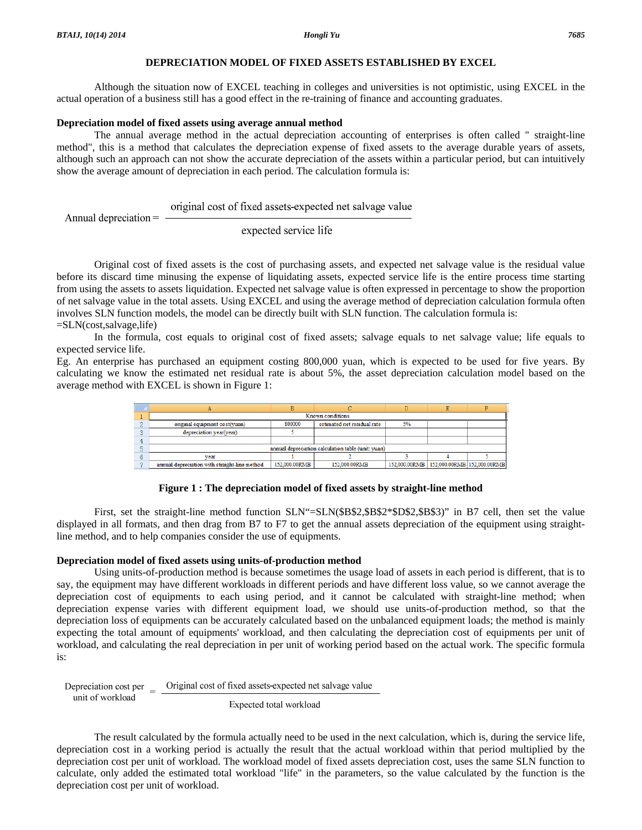## **DEPRECIATION MODEL OF FIXED ASSETS ESTABLISHED BY EXCEL**

 Although the situation now of EXCEL teaching in colleges and universities is not optimistic, using EXCEL in the actual operation of a business still has a good effect in the re-training of finance and accounting graduates.

#### **Depreciation model of fixed assets using average annual method**

 The annual average method in the actual depreciation accounting of enterprises is often called " straight-line method", this is a method that calculates the depreciation expense of fixed assets to the average durable years of assets, although such an approach can not show the accurate depreciation of the assets within a particular period, but can intuitively show the average amount of depreciation in each period. The calculation formula is:

original cost of fixed assets-expected net salvage value Annual depreciation  $=$   $-$ 

expected service life

 Original cost of fixed assets is the cost of purchasing assets, and expected net salvage value is the residual value before its discard time minusing the expense of liquidating assets, expected service life is the entire process time starting from using the assets to assets liquidation. Expected net salvage value is often expressed in percentage to show the proportion of net salvage value in the total assets. Using EXCEL and using the average method of depreciation calculation formula often involves SLN function models, the model can be directly built with SLN function. The calculation formula is: =SLN(cost,salvage,life)

 In the formula, cost equals to original cost of fixed assets; salvage equals to net salvage value; life equals to expected service life.

Eg. An enterprise has purchased an equipment costing 800,000 yuan, which is expected to be used for five years. By calculating we know the estimated net residual rate is about 5%, the asset depreciation calculation model based on the average method with EXCEL is shown in Figure 1:

| Known conditions                                   |               |                             |    |                                           |  |  |  |
|----------------------------------------------------|---------------|-----------------------------|----|-------------------------------------------|--|--|--|
| original equipment cost(yuan)                      | 800000        | estimated net residual rate | 5% |                                           |  |  |  |
| depreciation year(year)                            |               |                             |    |                                           |  |  |  |
|                                                    |               |                             |    |                                           |  |  |  |
| annual depreciation calculation table (unit: yuan) |               |                             |    |                                           |  |  |  |
| vear                                               |               |                             |    |                                           |  |  |  |
| annual depreciation with straight-line method      | 152,000.00RMB | 152,000.00RMB               |    | 152.000.00RMB 152.000.00RMB 152.000.00RMB |  |  |  |

**Figure 1 : The depreciation model of fixed assets by straight-line method** 

First, set the straight-line method function SLN"=SLN(\$B\$2,\$B\$2\*\$D\$2,\$B\$3)" in B7 cell, then set the value displayed in all formats, and then drag from B7 to F7 to get the annual assets depreciation of the equipment using straightline method, and to help companies consider the use of equipments.

## **Depreciation model of fixed assets using units-of-production method**

 Using units-of-production method is because sometimes the usage load of assets in each period is different, that is to say, the equipment may have different workloads in different periods and have different loss value, so we cannot average the depreciation cost of equipments to each using period, and it cannot be calculated with straight-line method; when depreciation expense varies with different equipment load, we should use units-of-production method, so that the depreciation loss of equipments can be accurately calculated based on the unbalanced equipment loads; the method is mainly expecting the total amount of equipments' workload, and then calculating the depreciation cost of equipments per unit of workload, and calculating the real depreciation in per unit of working period based on the actual work. The specific formula is:

Depreciation cost per  $\equiv$  Original cost of fixed assets-expected net salvage value unit of workload Expected total workload

 The result calculated by the formula actually need to be used in the next calculation, which is, during the service life, depreciation cost in a working period is actually the result that the actual workload within that period multiplied by the depreciation cost per unit of workload. The workload model of fixed assets depreciation cost, uses the same SLN function to calculate, only added the estimated total workload "life" in the parameters, so the value calculated by the function is the depreciation cost per unit of workload.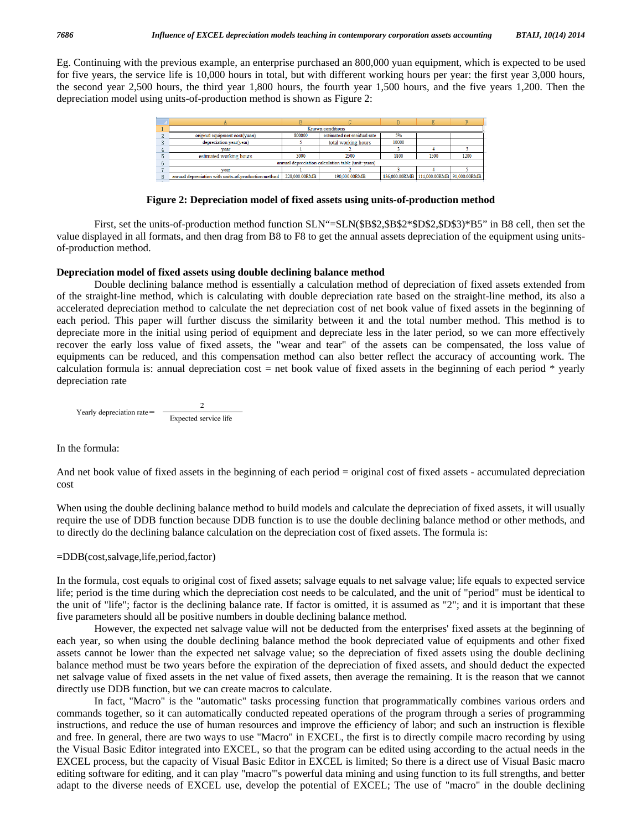Eg. Continuing with the previous example, an enterprise purchased an 800,000 yuan equipment, which is expected to be used for five years, the service life is 10,000 hours in total, but with different working hours per year: the first year 3,000 hours, the second year 2,500 hours, the third year 1,800 hours, the fourth year 1,500 hours, and the five years 1,200. Then the depreciation model using units-of-production method is shown as Figure 2:

|   | Known conditions                                    |                                       |                     |                                          |      |      |  |  |
|---|-----------------------------------------------------|---------------------------------------|---------------------|------------------------------------------|------|------|--|--|
|   | original equipment cost(yuan)                       | estimated net residual rate<br>800000 |                     | 5%                                       |      |      |  |  |
| o | depreciation year(year)                             |                                       | total working hours | 10000                                    |      |      |  |  |
|   | vear                                                |                                       |                     |                                          |      |      |  |  |
|   | estimated working hours                             | 3000                                  | 2500                | 1800                                     | 1500 | 1200 |  |  |
|   | annual depreciation calculation table (unit: vuan)  |                                       |                     |                                          |      |      |  |  |
|   | vear                                                |                                       |                     |                                          |      |      |  |  |
|   | annual depreciation with units-of-production method | 228.000.00RMB                         | 190.000.00RMB       | 136.000.00RMB 114.000.00RMB 91.000.00RMB |      |      |  |  |

#### **Figure 2: Depreciation model of fixed assets using units-of-production method**

 First, set the units-of-production method function SLN"=SLN(\$B\$2,\$B\$2\*\$D\$2,\$D\$3)\*B5" in B8 cell, then set the value displayed in all formats, and then drag from B8 to F8 to get the annual assets depreciation of the equipment using unitsof-production method.

## **Depreciation model of fixed assets using double declining balance method**

 Double declining balance method is essentially a calculation method of depreciation of fixed assets extended from of the straight-line method, which is calculating with double depreciation rate based on the straight-line method, its also a accelerated depreciation method to calculate the net depreciation cost of net book value of fixed assets in the beginning of each period. This paper will further discuss the similarity between it and the total number method. This method is to depreciate more in the initial using period of equipment and depreciate less in the later period, so we can more effectively recover the early loss value of fixed assets, the "wear and tear" of the assets can be compensated, the loss value of equipments can be reduced, and this compensation method can also better reflect the accuracy of accounting work. The calculation formula is: annual depreciation cost = net book value of fixed assets in the beginning of each period  $*$  yearly depreciation rate

$$
Yearly depreciation rate = \frac{2}{\text{Expected service life}}
$$

In the formula:

And net book value of fixed assets in the beginning of each period = original cost of fixed assets - accumulated depreciation cost

When using the double declining balance method to build models and calculate the depreciation of fixed assets, it will usually require the use of DDB function because DDB function is to use the double declining balance method or other methods, and to directly do the declining balance calculation on the depreciation cost of fixed assets. The formula is:

### =DDB(cost,salvage,life,period,factor)

In the formula, cost equals to original cost of fixed assets; salvage equals to net salvage value; life equals to expected service life; period is the time during which the depreciation cost needs to be calculated, and the unit of "period" must be identical to the unit of "life"; factor is the declining balance rate. If factor is omitted, it is assumed as "2"; and it is important that these five parameters should all be positive numbers in double declining balance method.

 However, the expected net salvage value will not be deducted from the enterprises' fixed assets at the beginning of each year, so when using the double declining balance method the book depreciated value of equipments and other fixed assets cannot be lower than the expected net salvage value; so the depreciation of fixed assets using the double declining balance method must be two years before the expiration of the depreciation of fixed assets, and should deduct the expected net salvage value of fixed assets in the net value of fixed assets, then average the remaining. It is the reason that we cannot directly use DDB function, but we can create macros to calculate.

 In fact, "Macro" is the "automatic" tasks processing function that programmatically combines various orders and commands together, so it can automatically conducted repeated operations of the program through a series of programming instructions, and reduce the use of human resources and improve the efficiency of labor; and such an instruction is flexible and free. In general, there are two ways to use "Macro" in EXCEL, the first is to directly compile macro recording by using the Visual Basic Editor integrated into EXCEL, so that the program can be edited using according to the actual needs in the EXCEL process, but the capacity of Visual Basic Editor in EXCEL is limited; So there is a direct use of Visual Basic macro editing software for editing, and it can play "macro"'s powerful data mining and using function to its full strengths, and better adapt to the diverse needs of EXCEL use, develop the potential of EXCEL; The use of "macro" in the double declining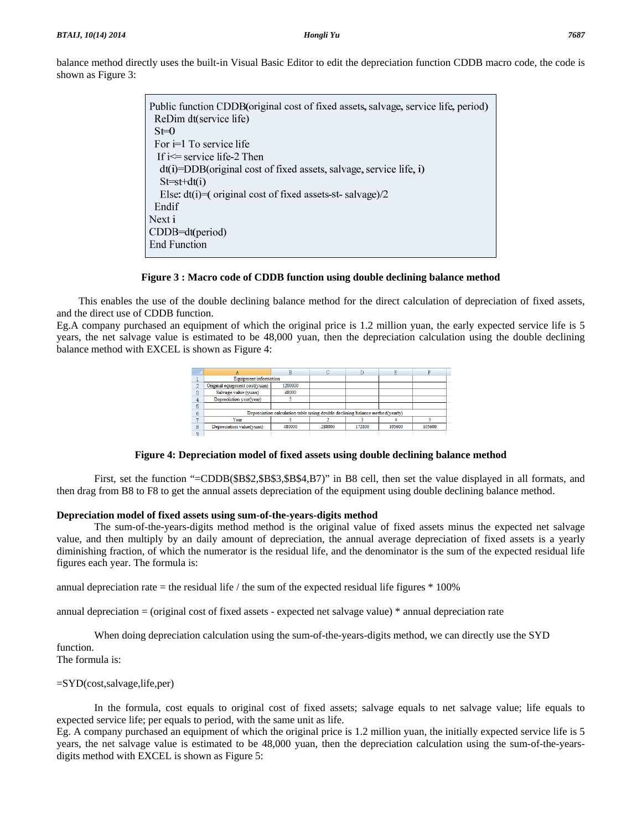| Figure 3. |                                                                                     |
|-----------|-------------------------------------------------------------------------------------|
|           |                                                                                     |
|           | Public function CDDB (original cost of fixed assets, salvage, service life, period) |
|           | ReDim dt(service life)                                                              |
|           | $St=0$                                                                              |
|           | For $i=1$ To service life                                                           |
|           | If $i \leq s$ service life-2 Then                                                   |
|           | $dt(i) = DDB$ (original cost of fixed assets, salvage, service life, i)             |
|           | $St=st+dt(i)$                                                                       |
|           | Else: $dt(i) = (original cost of fixed assets-st-salvage)/2$                        |
|           | Endif                                                                               |
|           | Next i                                                                              |
|           | $CDDB=dt(period)$                                                                   |
|           | <b>End Function</b>                                                                 |
|           |                                                                                     |

## balance method directly uses the built-in Visual Basic Editor to edit the depreciation function CDDB macro code, the code is shown as I

## **Figure 3 : Macro code of CDDB function using double declining balance method**

This enables the use of the double declining balance method for the direct calculation of depreciation of fixed assets, and the direct use of CDDB function.

Eg.A company purchased an equipment of which the original price is 1.2 million yuan, the early expected service life is 5 years, the net salvage value is estimated to be 48,000 yuan, then the depreciation calculation using the double declining balance method with EXCEL is shown as Figure 4:

|               | <b>Equipment information</b>                                                 |         |        |        |        |        |  |  |
|---------------|------------------------------------------------------------------------------|---------|--------|--------|--------|--------|--|--|
| $\mathcal{D}$ | Original equipment cost(yuan)                                                | 1200000 |        |        |        |        |  |  |
| 3             | Salvage value (yuan)                                                         | 48000   |        |        |        |        |  |  |
|               | Depreciation year(year)                                                      |         |        |        |        |        |  |  |
| 5             |                                                                              |         |        |        |        |        |  |  |
| 6             | Depreciation calculation table using double declining balance method(yearly) |         |        |        |        |        |  |  |
|               | Year                                                                         |         |        |        |        |        |  |  |
| 8             | Depreciation value(yuan)                                                     | 480000  | 288000 | 172800 | 105600 | 105600 |  |  |
|               |                                                                              |         |        |        |        |        |  |  |

# **Figure 4: Depreciation model of fixed assets using double declining balance method**

 First, set the function "=CDDB(\$B\$2,\$B\$3,\$B\$4,B7)" in B8 cell, then set the value displayed in all formats, and then drag from B8 to F8 to get the annual assets depreciation of the equipment using double declining balance method.

## **Depreciation model of fixed assets using sum-of-the-years-digits method**

 The sum-of-the-years-digits method method is the original value of fixed assets minus the expected net salvage value, and then multiply by an daily amount of depreciation, the annual average depreciation of fixed assets is a yearly diminishing fraction, of which the numerator is the residual life, and the denominator is the sum of the expected residual life figures each year. The formula is:

annual depreciation rate  $=$  the residual life / the sum of the expected residual life figures  $*$  100%

annual depreciation = (original cost of fixed assets - expected net salvage value) \* annual depreciation rate

 When doing depreciation calculation using the sum-of-the-years-digits method, we can directly use the SYD function.

The formula is:

## =SYD(cost,salvage,life,per)

 In the formula, cost equals to original cost of fixed assets; salvage equals to net salvage value; life equals to expected service life; per equals to period, with the same unit as life.

Eg. A company purchased an equipment of which the original price is 1.2 million yuan, the initially expected service life is 5 years, the net salvage value is estimated to be 48,000 yuan, then the depreciation calculation using the sum-of-the-yearsdigits method with EXCEL is shown as Figure 5: